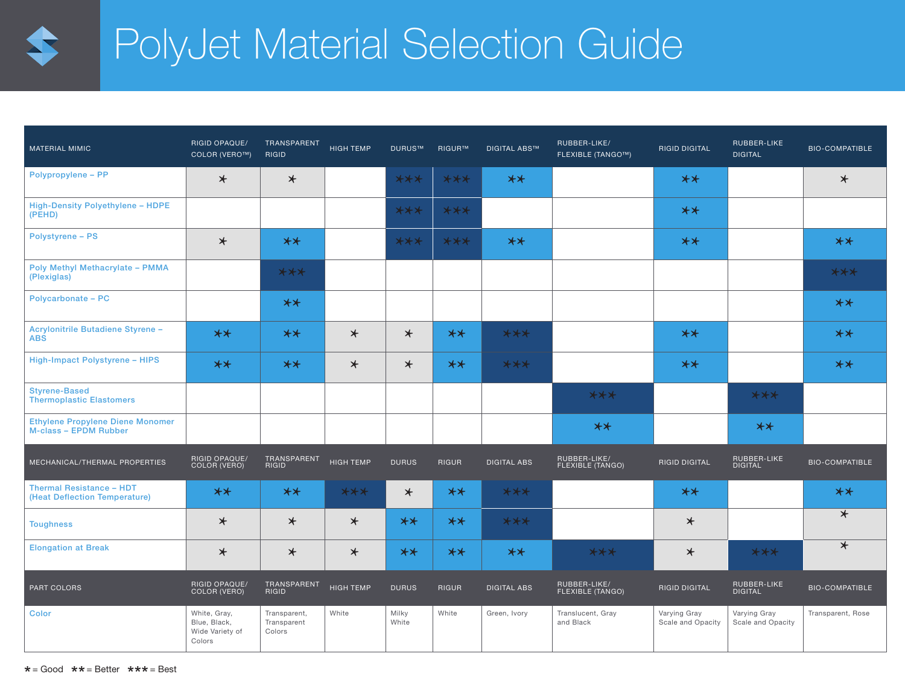

## PolyJet Material Selection Guide

| <b>MATERIAL MIMIC</b>                                                   | <b>RIGID OPAQUE/</b><br>COLOR (VERO™)                     | TRANSPARENT<br><b>RIGID</b>           | HIGH TEMP        | DURUS™         | RIGUR™ | <b>DIGITAL ABS™</b> | RUBBER-LIKE/<br><b>FLEXIBLE (TANGO™)</b> | <b>RIGID DIGITAL</b>              | RUBBER-LIKE<br><b>DIGITAL</b>     | <b>BIO-COMPATIBLE</b> |
|-------------------------------------------------------------------------|-----------------------------------------------------------|---------------------------------------|------------------|----------------|--------|---------------------|------------------------------------------|-----------------------------------|-----------------------------------|-----------------------|
| Polypropylene - PP                                                      | $\star$                                                   | $\star$                               |                  | $***$          | $***$  | $**$                |                                          | $**$                              |                                   | $\star$               |
| <b>High-Density Polyethylene - HDPE</b><br>(PEHD)                       |                                                           |                                       |                  | $***$          | $***$  |                     |                                          | $**$                              |                                   |                       |
| <b>Polystyrene - PS</b>                                                 | $\star$                                                   | $**$                                  |                  | $***$          | $***$  | $**$                |                                          | $**$                              |                                   | $**$                  |
| <b>Poly Methyl Methacrylate - PMMA</b><br>(Plexiglas)                   |                                                           | $***$                                 |                  |                |        |                     |                                          |                                   |                                   | $***$                 |
| <b>Polycarbonate - PC</b>                                               |                                                           | $**$                                  |                  |                |        |                     |                                          |                                   |                                   | $**$                  |
| Acrylonitrile Butadiene Styrene -<br><b>ABS</b>                         | $**$                                                      | $**$                                  | $\star$          | $\star$        | $**$   | $***$               |                                          | $**$                              |                                   | $**$                  |
| High-Impact Polystyrene - HIPS                                          | $**$                                                      | $**$                                  | $\star$          | $\star$        | $**$   | $***$               |                                          | $**$                              |                                   | $**$                  |
| <b>Styrene-Based</b><br><b>Thermoplastic Elastomers</b>                 |                                                           |                                       |                  |                |        |                     | $***$                                    |                                   | $***$                             |                       |
| <b>Ethylene Propylene Diene Monomer</b><br><b>M-class - EPDM Rubber</b> |                                                           |                                       |                  |                |        |                     | $**$                                     |                                   | $**$                              |                       |
| MECHANICAL/THERMAL PROPERTIES                                           | RIGID OPAQUE/<br>COLOR (VERO)                             | TRANSPARENT<br>RIGID                  | <b>HIGH TEMP</b> | <b>DURUS</b>   | RIGUR  | <b>DIGITAL ABS</b>  | RUBBER-LIKE/<br>FLEXIBLE (TANGO)         | <b>RIGID DIGITAL</b>              | RUBBER-LIKE<br>DIGITAL            | <b>BIO-COMPATIBLE</b> |
| <b>Thermal Resistance - HDT</b><br>(Heat Deflection Temperature)        | $**$                                                      | $**$                                  | $***$            | $\star$        | $**$   | $***$               |                                          | $**$                              |                                   | $**$                  |
| <b>Toughness</b>                                                        | $\star$                                                   | $\star$                               | $\star$          | $**$           | $**$   | $***$               |                                          | $\star$                           |                                   | $\star$               |
| <b>Elongation at Break</b>                                              | $\star$                                                   | $\star$                               | $\star$          | $**$           | $**$   | $**$                | $***$                                    | $\star$                           | $***$                             | $\overline{\ast}$     |
| PART COLORS                                                             | RIGID OPAQUE/<br>COLOR (VERO)                             | TRANSPARENT<br>RIGID                  | HIGH TEMP        | <b>DURUS</b>   | RIGUR  | <b>DIGITAL ABS</b>  | RUBBER-LIKE/<br>FLEXIBLE (TANGO)         | <b>RIGID DIGITAL</b>              | RUBBER-LIKE<br>DIGITAL            | <b>BIO-COMPATIBLE</b> |
| <b>Color</b>                                                            | White, Gray,<br>Blue, Black,<br>Wide Variety of<br>Colors | Transparent,<br>Transparent<br>Colors | White            | Milky<br>White | White  | Green, Ivory        | Translucent, Gray<br>and Black           | Varying Gray<br>Scale and Opacity | Varying Gray<br>Scale and Opacity | Transparent, Rose     |